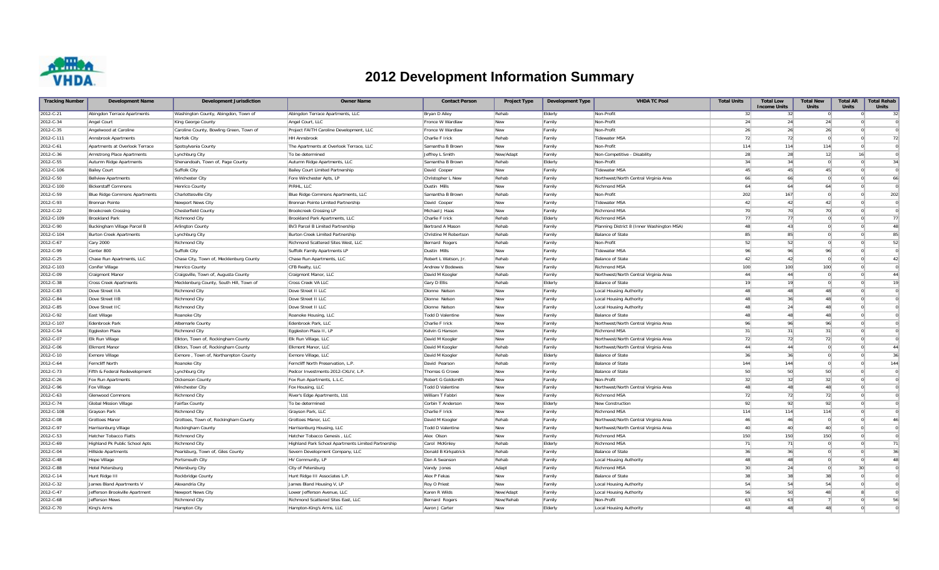

## **2012 Development Information Summary**

| <b>Tracking Number</b> | <b>Development Name</b>              | <b>Development Jurisdiction</b>         | <b>Owner Name</b>                                   | <b>Contact Person</b>   | <b>Project Type</b> | <b>Development Type</b> | <b>VHDA TC Pool</b>                        | <b>Total Units</b> | <b>Total Low</b><br><b>Income Units</b> | <b>Total New</b><br><b>Units</b> | <b>Total AR</b><br><b>Units</b> | <b>Total Rehab</b><br><b>Units</b> |
|------------------------|--------------------------------------|-----------------------------------------|-----------------------------------------------------|-------------------------|---------------------|-------------------------|--------------------------------------------|--------------------|-----------------------------------------|----------------------------------|---------------------------------|------------------------------------|
| 2012-C-21              | Abingdon Terrace Apartments          | Washington County, Abingdon, Town of    | Abingdon Terrace Apartments, LLC                    | Bryan D Ailey           | Rehab               | Elderly                 | Non-Profit                                 | 32                 | 32                                      |                                  | $\Omega$                        | 32                                 |
| 2012-C-34              | Angel Court                          | King George County                      | Angel Court, LLC                                    | Fronce W Wardlaw        | New                 | Family                  | Non-Profit                                 | 24                 | 24                                      | 24                               | $\Omega$                        |                                    |
| 2012-C-35              | Angelwood at Caroline                | Caroline County, Bowling Green, Town of | Project FAITH Caroline Development, LLC             | Fronce W Wardlaw        | New                 | Family                  | Non-Profit                                 | 26                 | 26                                      | 26                               | $\Omega$                        | $\Omega$                           |
| 2012-C-111             | Annsbrook Apartments                 | Norfolk City                            | <b>HH Annsbrook</b>                                 | Charlie F Irick         | Rehab               | Family                  | <b>Tidewater MSA</b>                       | 72                 | 72                                      | $\overline{0}$                   | $\Omega$                        | 72                                 |
| 2012-C-61              | Apartments at Overlook Terrace       | Spotsylvania County                     | The Apartments at Overlook Terrace, LLC             | Samantha B Brown        | New                 | Family                  | Non-Profit                                 | 114                | 114                                     | 114                              | $\Omega$                        | $\Omega$                           |
| 2012-C-36              | Armstrong Place Apartments           | Lynchburg City                          | To be determined                                    | Jeffrey L Smith         | New/Adapt           | Family                  | Non-Competitive - Disability               | 28                 | 28                                      | 12                               |                                 | 16                                 |
| 2012-C-55              | Autumn Ridge Apartments              | Shenandoah, Town of, Page County        | Autumn Ridge Apartments, LLC                        | Samantha B Brown        | Rehab               | Elderly                 | Non-Profit                                 | 34                 | 34                                      | $\overline{0}$                   | $\overline{0}$                  | 34                                 |
| 2012-C-106             | <b>Bailey Court</b>                  | Suffolk City                            | <b>Bailey Court Limited Partnership</b>             | David Cooper            | New                 | Family                  | <b>Tidewater MSA</b>                       | 45                 | 45                                      | 45                               | $\Omega$                        | $\Omega$                           |
| 2012-C-50              | <b>Bellview Apartments</b>           | Winchester City                         | Fore Winchester Apts, LP                            | Christopher L New       | Rehab               | Family                  | Northwest/North Central Virginia Area      | 66                 | 66                                      | $\Omega$                         | $\Omega$                        | 66                                 |
| 2012-C-100             | <b>Bickerstaff Commons</b>           | Henrico County                          | PIRHL, LLC                                          | Dustin Mills            | <b>New</b>          | Family                  | <b>Richmond MSA</b>                        | 64                 | 64                                      | 64                               | $\Omega$                        | $\Omega$                           |
| 2012-C-59              | <b>Blue Ridge Commons Apartments</b> | Charlottesville City                    | Blue Ridge Commons Apartments, LLC                  | Samantha B Brown        | Rehab               | Family                  | Non-Profit                                 | 202                | 167                                     | $\overline{0}$                   |                                 | 202<br>$\overline{0}$              |
| 2012-C-93              | <b>Brennan Pointe</b>                | Newport News City                       | Brennan Pointe Limited Partnership                  | David Cooper            | New                 | Family                  | <b>Tidewater MSA</b>                       | 42                 | 42                                      | 42                               |                                 | $\Omega$<br>$\Omega$               |
| 2012-C-22              | <b>Brookcreek Crossing</b>           | <b>Chesterfield County</b>              | <b>Brookcreek Crossing LP</b>                       | Michael J Haas          | New                 | Family                  | Richmond MSA                               | 70                 | 70                                      | 70                               | $\Omega$                        | $\Omega$                           |
| 2012-C-109             | <b>Brookland Park</b>                | <b>Richmond City</b>                    | Brookland Park Apartments, LLC                      | Charlie F Irick         | Rehab               | Elderly                 | Richmond MSA                               | 77                 | 77                                      | $\overline{0}$                   | $\Omega$                        | 77                                 |
| 2012-C-90              | Buckingham Village Parcel B          | Arlington County                        | BV3 Parcel B Limited Partnership                    | Bertrand A Mason        | Rehab               | Family                  | Planning District 8 (Inner Washington MSA) | 48                 | 43                                      | $\overline{0}$                   |                                 | 48                                 |
| 2012-C-104             | <b>Burton Creek Apartments</b>       | Lynchburg City                          | Burton Creek Limited Partnership                    | Christine M Robertson   | Rehab               | Family                  | <b>Balance of State</b>                    | 85                 | 85                                      | $\Omega$                         | $\Omega$                        | 85                                 |
| 2012-C-67              | Cary 2000                            | <b>Richmond City</b>                    | Richmond Scattered Sites West, LLC                  | Bernard Rogers          | Rehab               | Family                  | Non-Profit                                 | 52                 | 52                                      | $\Omega$                         | $\Omega$                        | 52                                 |
| 2012-C-99              | Center 800                           | Suffolk City                            | Suffolk Family Apartments LP                        | Dustin Mills            | New                 | Family                  | <b>Tidewater MSA</b>                       | 96                 | 96                                      | 96                               | $\Omega$                        | $\Omega$                           |
| 2012-C-25              | Chase Run Apartments, LLC            | Chase City, Town of, Mecklenburg County | Chase Run Apartments, LLC                           | Robert L Watson, Jr     | Rehab               | Family                  | <b>Balance of State</b>                    | 42                 | 42                                      | $\overline{0}$                   | $\Omega$                        | 42                                 |
| 2012-C-103             | Conifer Village                      | Henrico County                          | CFB Realty, LLC                                     | Andrew V Bodewes        | <b>New</b>          | Family                  | Richmond MSA                               | 100                | 100                                     | 100                              | $\Omega$                        | $\Omega$                           |
| 2012-C-09              | Craigmont Manor                      | Craigsville, Town of, Augusta County    | Craigmont Manor, LLC                                | David M Koogler         | Rehab               | Family                  | Northwest/North Central Virginia Area      | 44                 | 44                                      | $\overline{0}$                   | $\Omega$                        | 44                                 |
| 2012-C-38              | <b>Cross Creek Apartments</b>        | Mecklenburg County, South Hill, Town of | Cross Creek VA LLC                                  | Gary D Ellis            | Rehab               | Elderly                 | <b>Balance of State</b>                    | 19                 | 19                                      | $\overline{0}$                   |                                 | 19                                 |
| 2012-C-83              | Dove Street IIA                      | <b>Richmond City</b>                    | Dove Street II LLC                                  | Dionne Nelson           | New                 | Family                  | Local Housing Authority                    | 48                 | 48                                      | 48                               | $\Omega$                        | $\Omega$                           |
| 2012-C-84              | Dove Street IIB                      | <b>Richmond City</b>                    | Dove Street II LLC                                  | Dionne Nelson           | New                 | Family                  | Local Housing Authority                    | 48                 | 36                                      | 48                               | $\Omega$                        |                                    |
| 2012-C-85              | Dove Street IIC                      | <b>Richmond City</b>                    | Dove Street II LLC                                  | Dionne Nelson           | <b>New</b>          | Family                  | Local Housing Authority                    | 48                 | 24                                      | 48                               |                                 | ∩                                  |
| 2012-C-92              | East Village                         | Roanoke City                            | Roanoke Housing, LLC                                | <b>Todd D Valentine</b> | New                 | Family                  | <b>Balance of State</b>                    | 48                 | 48                                      | 48                               | $\Omega$                        |                                    |
| 2012-C-107             | Edenbrook Park                       | Albemarle County                        | Edenbrook Park, LLC                                 | Charlie F Irick         | New                 | Family                  | Northwest/North Central Virginia Area      | 96                 | 96                                      | 96                               | $\Omega$                        |                                    |
| 2012-C-54              | Eggleston Plaza                      | <b>Richmond City</b>                    | Eggleston Plaza II, LP                              | Kelvin G Hanson         | <b>New</b>          | Family                  | Richmond MSA                               | 31                 | 31                                      | 31                               |                                 | $\overline{0}$                     |
| 2012-C-07              | <b>Elk Run Village</b>               | Elkton, Town of, Rockingham County      | Elk Run Village, LLC                                | David M Koogler         | New                 | Family                  | Northwest/North Central Virginia Area      | 72                 | 72                                      | 72                               |                                 | $\overline{0}$                     |
| 2012-C-06              | <b>Elkmont Manor</b>                 | Elkton, Town of, Rockingham County      | Elkmont Manor, LLC                                  | David M Koogler         | Rehab               | Family                  | Northwest/North Central Virginia Area      | 44                 | 44                                      | $\overline{0}$                   | $\Omega$                        | 44                                 |
| 2012-C-10              | <b>Exmore Village</b>                | Exmore, Town of, Northampton County     | Exmore Village, LLC                                 | David M Koogler         | Rehab               | Elderly                 | <b>Balance of State</b>                    | 36                 | 36                                      | $\overline{0}$                   |                                 | 36                                 |
| 2012-C-64              | Ferncliff North                      | Roanoke City                            | Ferncliff North Preservation, L.P                   | David Pearson           | Rehab               | Family                  | Balance of State                           | 144                | 144                                     | $\overline{0}$                   | $\Omega$                        | 144                                |
| 2012-C-73              | Fifth & Federal Redevelopment        | Lynchburg City                          | Pedcor Investments-2012-CXLIV, L.P                  | Thomas G Crowe          | New                 | Family                  | <b>Balance of State</b>                    | 50                 | 50                                      | 50                               | $\Omega$                        |                                    |
| 2012-C-26              | Fox Run Apartments                   | Dickenson County                        | Fox Run Apartments, L.L.C.                          | Robert G Goldsmith      | New                 | Family                  | Non-Profit                                 | 32                 | 32                                      | 32                               | $\Omega$                        | $\Omega$                           |
| 2012-C-96              | Fox Village                          | Winchester City                         | Fox Housing, LLC                                    | <b>Todd D Valentine</b> | New                 | Family                  | Northwest/North Central Virginia Area      | 48                 | 48                                      | 48                               | $\Omega$                        |                                    |
| 2012-C-63              | Glenwood Commons                     | <b>Richmond City</b>                    | River's Edge Apartments, Ltd                        | William T Fabbri        | New                 | Family                  | Richmond MSA                               | 72                 | 72                                      | 72                               | $\Omega$                        |                                    |
| 2012-C-74              | <b>Global Mission Village</b>        | Fairfax County                          | To be determined                                    | Corbin T Anderson       | New                 | Elderly                 | New Construction                           | 92                 | 92                                      | 92                               | $\Omega$                        |                                    |
| 2012-C-108             | Grayson Park                         | <b>Richmond City</b>                    | Grayson Park, LLC                                   | Charlie F Irick         | <b>New</b>          | Family                  | Richmond MSA                               | 114                | 114                                     | 114                              | $\Omega$                        |                                    |
| 2012-C-08              | Grottoes Manor                       | Grottoes, Town of, Rockingham County    | Grottoes Manor, LLC                                 | David M Koogler         | Rehab               | Family                  | Northwest/North Central Virginia Area      | 46                 | 46                                      | $\overline{0}$                   |                                 | 46<br>$\overline{0}$               |
| 2012-C-97              | Harrisonburg Village                 | Rockingham County                       | Harrisonburg Housing, LLC                           | <b>Todd D Valentine</b> | New                 | Family                  | Northwest/North Central Virginia Area      | 40                 | 40                                      | 40                               |                                 | $\overline{0}$                     |
| 2012-C-53              | Hatcher Tobacco Flatts               | <b>Richmond City</b>                    | Hatcher Tobacco Genesis, LLC                        | Alex Olson              | New                 | Family                  | Richmond MSA                               | 150                | 150                                     | 150                              | $\overline{0}$                  | $\Omega$                           |
| 2012-C-69              | Highland Pk Public School Apts       | <b>Richmond City</b>                    | Highland Park School Apartments Limited Partnership | Carol McKinley          | Rehab               | Elderly                 | Richmond MSA                               | 71                 | 71                                      | $\Omega$                         | n.                              | 71                                 |
| 2012-C-04              | Hillside Apartments                  | Pearisburg, Town of, Giles County       | Severn Development Company, LLC                     | Donald B Kirkpatrick    | Rehab               | Family                  | <b>Balance of State</b>                    | 36                 | 36                                      | $\Omega$                         | $\Omega$                        | 36                                 |
| 2012-C-48              | Hope Village                         | Portsmouth City                         | HV Community, LP                                    | Dan A Swanson           | Rehab               | Family                  | Local Housing Authority                    | 48                 | 48                                      | $\Omega$                         | $\Omega$                        | 48                                 |
| 2012-C-88              | Hotel Petersburg                     | Petersburg City                         | City of Petersburg                                  | Vandy Jones             | Adapt               | Family                  | Richmond MSA                               | 30                 | 24                                      | $\Omega$                         | 30                              |                                    |
| 2012-C-14              | Hunt Ridge III                       | Rockbridge County                       | Hunt Ridge III Associates L.P.                      | Alex P Fekas            | New                 | Family                  | <b>Balance of State</b>                    | 38                 | 38                                      | 38                               | $\Omega$                        |                                    |
| 2012-C-32              | James Bland Apartments V             | Alexandria City                         | James Bland Housing V, LP                           | Roy O Priest            | <b>New</b>          | Family                  | Local Housing Authority                    | 54                 | 54                                      | 54                               | $\Omega$                        |                                    |
| 2012-C-47              | Jefferson Brookville Apartment       | Newport News City                       | Lower Jefferson Avenue, LLC                         | Karen R Wilds           | New/Adapt           | Family                  | Local Housing Authority                    | 56                 | 50                                      | 48                               | -8                              |                                    |
| 2012-C-68              | Jefferson Mews                       | <b>Richmond City</b>                    | Richmond Scattered Sites East, LLC                  | Bernard Rogers          | New/Rehab           | Family                  | Non-Profit                                 | 63                 | 63                                      |                                  |                                 | $\overline{0}$<br>56               |
| 2012-C-70              |                                      |                                         |                                                     |                         | <b>New</b>          |                         |                                            | 48                 | 48                                      | 48                               |                                 |                                    |
|                        | King's Arms                          | Hampton City                            | Hampton-King's Arms, LLC                            | Aaron J Carter          |                     | Elderly                 | Local Housing Authority                    |                    |                                         |                                  |                                 |                                    |